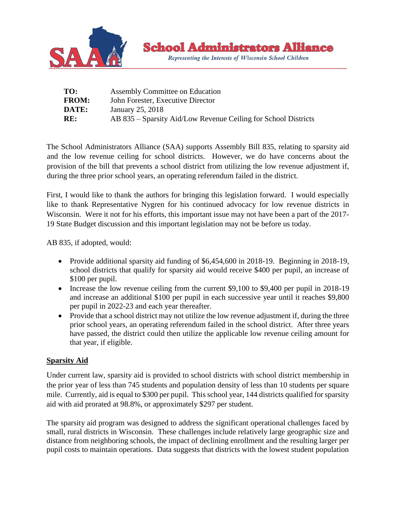

| TO:          | Assembly Committee on Education                                |
|--------------|----------------------------------------------------------------|
| <b>FROM:</b> | John Forester, Executive Director                              |
| <b>DATE:</b> | January 25, 2018                                               |
| RE:          | AB 835 – Sparsity Aid/Low Revenue Ceiling for School Districts |

The School Administrators Alliance (SAA) supports Assembly Bill 835, relating to sparsity aid and the low revenue ceiling for school districts. However, we do have concerns about the provision of the bill that prevents a school district from utilizing the low revenue adjustment if, during the three prior school years, an operating referendum failed in the district.

First, I would like to thank the authors for bringing this legislation forward. I would especially like to thank Representative Nygren for his continued advocacy for low revenue districts in Wisconsin. Were it not for his efforts, this important issue may not have been a part of the 2017- 19 State Budget discussion and this important legislation may not be before us today.

AB 835, if adopted, would:

- Provide additional sparsity aid funding of \$6,454,600 in 2018-19. Beginning in 2018-19, school districts that qualify for sparsity aid would receive \$400 per pupil, an increase of \$100 per pupil.
- Increase the low revenue ceiling from the current \$9,100 to \$9,400 per pupil in 2018-19 and increase an additional \$100 per pupil in each successive year until it reaches \$9,800 per pupil in 2022-23 and each year thereafter.
- Provide that a school district may not utilize the low revenue adjustment if, during the three prior school years, an operating referendum failed in the school district. After three years have passed, the district could then utilize the applicable low revenue ceiling amount for that year, if eligible.

## **Sparsity Aid**

Under current law, sparsity aid is provided to school districts with school district membership in the prior year of less than 745 students and population density of less than 10 students per square mile. Currently, aid is equal to \$300 per pupil. This school year, 144 districts qualified for sparsity aid with aid prorated at 98.8%, or approximately \$297 per student.

The sparsity aid program was designed to address the significant operational challenges faced by small, rural districts in Wisconsin. These challenges include relatively large geographic size and distance from neighboring schools, the impact of declining enrollment and the resulting larger per pupil costs to maintain operations. Data suggests that districts with the lowest student population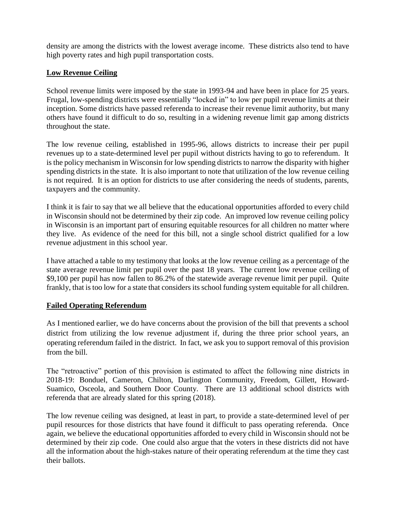density are among the districts with the lowest average income. These districts also tend to have high poverty rates and high pupil transportation costs.

## **Low Revenue Ceiling**

School revenue limits were imposed by the state in 1993-94 and have been in place for 25 years. Frugal, low-spending districts were essentially "locked in" to low per pupil revenue limits at their inception. Some districts have passed referenda to increase their revenue limit authority, but many others have found it difficult to do so, resulting in a widening revenue limit gap among districts throughout the state.

The low revenue ceiling, established in 1995-96, allows districts to increase their per pupil revenues up to a state-determined level per pupil without districts having to go to referendum. It is the policy mechanism in Wisconsin for low spending districts to narrow the disparity with higher spending districts in the state. It is also important to note that utilization of the low revenue ceiling is not required. It is an option for districts to use after considering the needs of students, parents, taxpayers and the community.

I think it is fair to say that we all believe that the educational opportunities afforded to every child in Wisconsin should not be determined by their zip code. An improved low revenue ceiling policy in Wisconsin is an important part of ensuring equitable resources for all children no matter where they live. As evidence of the need for this bill, not a single school district qualified for a low revenue adjustment in this school year.

I have attached a table to my testimony that looks at the low revenue ceiling as a percentage of the state average revenue limit per pupil over the past 18 years. The current low revenue ceiling of \$9,100 per pupil has now fallen to 86.2% of the statewide average revenue limit per pupil. Quite frankly, that is too low for a state that considers its school funding system equitable for all children.

## **Failed Operating Referendum**

As I mentioned earlier, we do have concerns about the provision of the bill that prevents a school district from utilizing the low revenue adjustment if, during the three prior school years, an operating referendum failed in the district. In fact, we ask you to support removal of this provision from the bill.

The "retroactive" portion of this provision is estimated to affect the following nine districts in 2018-19: Bonduel, Cameron, Chilton, Darlington Community, Freedom, Gillett, Howard-Suamico, Osceola, and Southern Door County. There are 13 additional school districts with referenda that are already slated for this spring (2018).

The low revenue ceiling was designed, at least in part, to provide a state-determined level of per pupil resources for those districts that have found it difficult to pass operating referenda. Once again, we believe the educational opportunities afforded to every child in Wisconsin should not be determined by their zip code. One could also argue that the voters in these districts did not have all the information about the high-stakes nature of their operating referendum at the time they cast their ballots.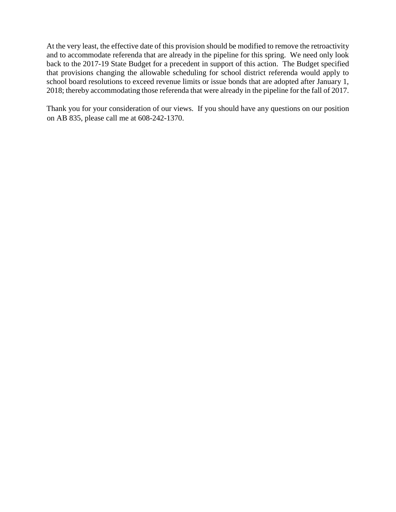At the very least, the effective date of this provision should be modified to remove the retroactivity and to accommodate referenda that are already in the pipeline for this spring. We need only look back to the 2017-19 State Budget for a precedent in support of this action. The Budget specified that provisions changing the allowable scheduling for school district referenda would apply to school board resolutions to exceed revenue limits or issue bonds that are adopted after January 1, 2018; thereby accommodating those referenda that were already in the pipeline for the fall of 2017.

Thank you for your consideration of our views. If you should have any questions on our position on AB 835, please call me at 608-242-1370.